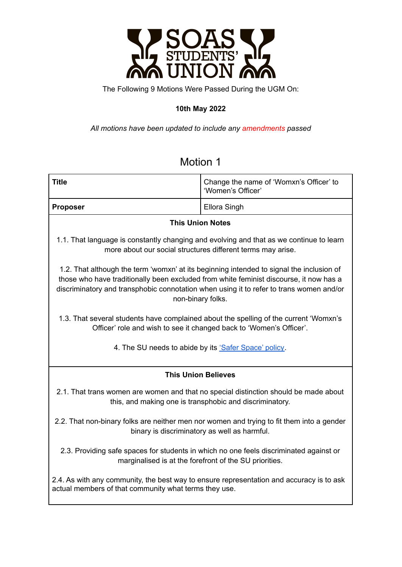

The Following 9 Motions Were Passed During the UGM On:

### **10th May 2022**

*All motions have been updated to include any amendments passed*

| <b>Title</b>                                                                                                                                                                                                                                                                                       | Change the name of 'Womxn's Officer' to<br>'Women's Officer' |
|----------------------------------------------------------------------------------------------------------------------------------------------------------------------------------------------------------------------------------------------------------------------------------------------------|--------------------------------------------------------------|
| <b>Proposer</b>                                                                                                                                                                                                                                                                                    | Ellora Singh                                                 |
| <b>This Union Notes</b>                                                                                                                                                                                                                                                                            |                                                              |
| 1.1. That language is constantly changing and evolving and that as we continue to learn<br>more about our social structures different terms may arise.                                                                                                                                             |                                                              |
| 1.2. That although the term 'womxn' at its beginning intended to signal the inclusion of<br>those who have traditionally been excluded from white feminist discourse, it now has a<br>discriminatory and transphobic connotation when using it to refer to trans women and/or<br>non-binary folks. |                                                              |
| 1.3. That several students have complained about the spelling of the current 'Womxn's<br>Officer' role and wish to see it changed back to 'Women's Officer'.                                                                                                                                       |                                                              |
| 4. The SU needs to abide by its 'Safer Space' policy.                                                                                                                                                                                                                                              |                                                              |
| <b>This Union Believes</b>                                                                                                                                                                                                                                                                         |                                                              |
| 2.1. That trans women are women and that no special distinction should be made about<br>this, and making one is transphobic and discriminatory.                                                                                                                                                    |                                                              |
| 2.2. That non-binary folks are neither men nor women and trying to fit them into a gender<br>binary is discriminatory as well as harmful.                                                                                                                                                          |                                                              |
| 2.3. Providing safe spaces for students in which no one feels discriminated against or<br>marginalised is at the forefront of the SU priorities.                                                                                                                                                   |                                                              |
| 2.4. As with any community, the best way to ensure representation and accuracy is to ask<br>actual members of that community what terms they use.                                                                                                                                                  |                                                              |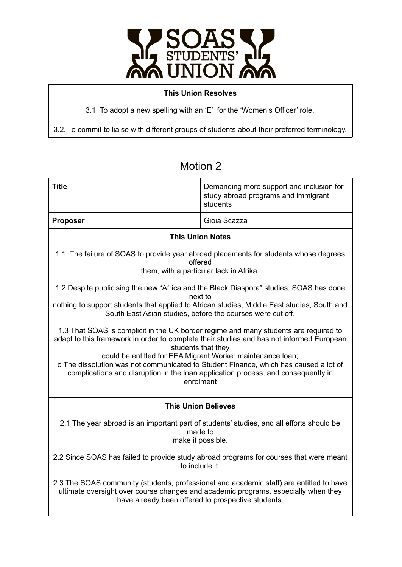

#### **This Union Resolves**

3.1. To adopt a new spelling with an 'E' for the 'Women's Officer' role.

3.2. To commit to liaise with different groups of students about their preferred terminology.

| <b>Title</b>                                                                                                                                                                                                                                                                                                                                                                                                                                                   | Demanding more support and inclusion for<br>study abroad programs and immigrant<br>students |
|----------------------------------------------------------------------------------------------------------------------------------------------------------------------------------------------------------------------------------------------------------------------------------------------------------------------------------------------------------------------------------------------------------------------------------------------------------------|---------------------------------------------------------------------------------------------|
| <b>Proposer</b>                                                                                                                                                                                                                                                                                                                                                                                                                                                | Gioia Scazza                                                                                |
| <b>This Union Notes</b>                                                                                                                                                                                                                                                                                                                                                                                                                                        |                                                                                             |
| 1.1. The failure of SOAS to provide year abroad placements for students whose degrees<br>offered<br>them, with a particular lack in Afrika.                                                                                                                                                                                                                                                                                                                    |                                                                                             |
| 1.2 Despite publicising the new "Africa and the Black Diaspora" studies, SOAS has done<br>next to                                                                                                                                                                                                                                                                                                                                                              |                                                                                             |
| nothing to support students that applied to African studies, Middle East studies, South and<br>South East Asian studies, before the courses were cut off.                                                                                                                                                                                                                                                                                                      |                                                                                             |
| 1.3 That SOAS is complicit in the UK border regime and many students are required to<br>adapt to this framework in order to complete their studies and has not informed European<br>students that they<br>could be entitled for EEA Migrant Worker maintenance loan;<br>o The dissolution was not communicated to Student Finance, which has caused a lot of<br>complications and disruption in the loan application process, and consequently in<br>enrolment |                                                                                             |
| <b>This Union Believes</b>                                                                                                                                                                                                                                                                                                                                                                                                                                     |                                                                                             |
| 2.1 The year abroad is an important part of students' studies, and all efforts should be                                                                                                                                                                                                                                                                                                                                                                       | made to<br>make it possible.                                                                |
| 2.2 Since SOAS has failed to provide study abroad programs for courses that were meant<br>to include it.                                                                                                                                                                                                                                                                                                                                                       |                                                                                             |
| 2.3 The SOAS community (students, professional and academic staff) are entitled to have<br>ultimate oversight over course changes and academic programs, especially when they<br>have already been offered to prospective students.                                                                                                                                                                                                                            |                                                                                             |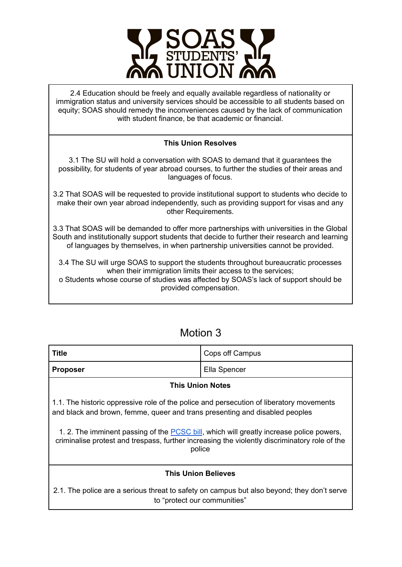

2.4 Education should be freely and equally available regardless of nationality or immigration status and university services should be accessible to all students based on equity; SOAS should remedy the inconveniences caused by the lack of communication with student finance, be that academic or financial.

#### **This Union Resolves**

3.1 The SU will hold a conversation with SOAS to demand that it guarantees the possibility, for students of year abroad courses, to further the studies of their areas and languages of focus.

3.2 That SOAS will be requested to provide institutional support to students who decide to make their own year abroad independently, such as providing support for visas and any other Requirements.

3.3 That SOAS will be demanded to offer more partnerships with universities in the Global South and institutionally support students that decide to further their research and learning of languages by themselves, in when partnership universities cannot be provided.

3.4 The SU will urge SOAS to support the students throughout bureaucratic processes when their immigration limits their access to the services;

o Students whose course of studies was affected by SOAS's lack of support should be provided compensation.

### Motion 3

| Title                   | Cops off Campus |
|-------------------------|-----------------|
| Proposer                | Ella Spencer    |
| <b>This Union Notes</b> |                 |

1.1. The historic oppressive role of the police and persecution of liberatory movements and black and brown, femme, queer and trans presenting and disabled peoples

1. 2. The imminent passing of the [PCSC](https://bills.parliament.uk/bills/2839) bill, which will greatly increase police powers, criminalise protest and trespass, further increasing the violently discriminatory role of the police

#### **This Union Believes**

2.1. The police are a serious threat to safety on campus but also beyond; they don't serve to "protect our communities"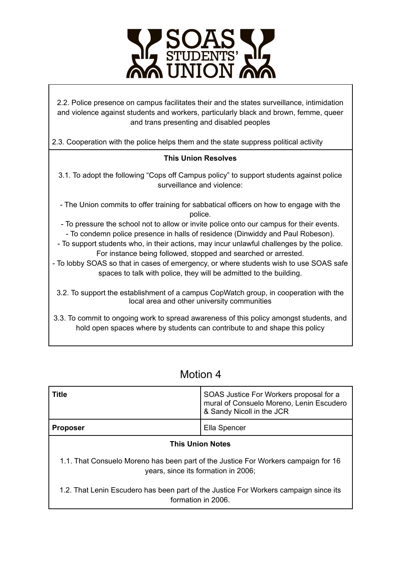

2.2. Police presence on campus facilitates their and the states surveillance, intimidation and violence against students and workers, particularly black and brown, femme, queer and trans presenting and disabled peoples

2.3. Cooperation with the police helps them and the state suppress political activity

### **This Union Resolves**

3.1. To adopt the following "Cops off Campus policy" to support students against police surveillance and violence:

- The Union commits to offer training for sabbatical officers on how to engage with the police.
- To pressure the school not to allow or invite police onto our campus for their events. - To condemn police presence in halls of residence (Dinwiddy and Paul Robeson).
- To support students who, in their actions, may incur unlawful challenges by the police. For instance being followed, stopped and searched or arrested.
- To lobby SOAS so that in cases of emergency, or where students wish to use SOAS safe spaces to talk with police, they will be admitted to the building.
- 3.2. To support the establishment of a campus CopWatch group, in cooperation with the local area and other university communities
- 3.3. To commit to ongoing work to spread awareness of this policy amongst students, and hold open spaces where by students can contribute to and shape this policy

| <b>Title</b>                                                                                                              | SOAS Justice For Workers proposal for a<br>mural of Consuelo Moreno, Lenin Escudero<br>& Sandy Nicoll in the JCR |
|---------------------------------------------------------------------------------------------------------------------------|------------------------------------------------------------------------------------------------------------------|
| <b>Proposer</b>                                                                                                           | Ella Spencer                                                                                                     |
| <b>This Union Notes</b>                                                                                                   |                                                                                                                  |
| 1.1. That Consuelo Moreno has been part of the Justice For Workers campaign for 16<br>years, since its formation in 2006; |                                                                                                                  |
| 1.2. That Lenin Escudero has been part of the Justice For Workers campaign since its<br>formation in 2006.                |                                                                                                                  |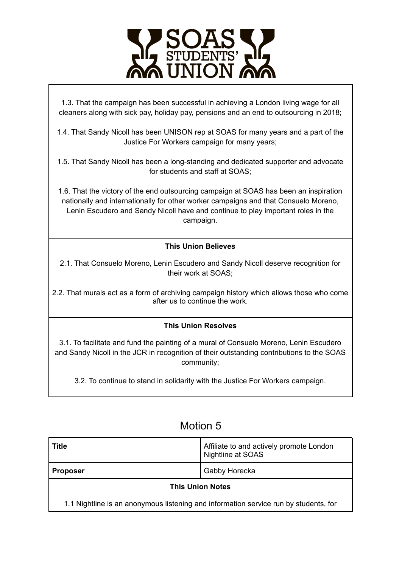

1.3. That the campaign has been successful in achieving a London living wage for all cleaners along with sick pay, holiday pay, pensions and an end to outsourcing in 2018;

1.4. That Sandy Nicoll has been UNISON rep at SOAS for many years and a part of the Justice For Workers campaign for many years;

1.5. That Sandy Nicoll has been a long-standing and dedicated supporter and advocate for students and staff at SOAS;

1.6. That the victory of the end outsourcing campaign at SOAS has been an inspiration nationally and internationally for other worker campaigns and that Consuelo Moreno, Lenin Escudero and Sandy Nicoll have and continue to play important roles in the campaign.

### **This Union Believes**

2.1. That Consuelo Moreno, Lenin Escudero and Sandy Nicoll deserve recognition for their work at SOAS;

2.2. That murals act as a form of archiving campaign history which allows those who come after us to continue the work.

### **This Union Resolves**

3.1. To facilitate and fund the painting of a mural of Consuelo Moreno, Lenin Escudero and Sandy Nicoll in the JCR in recognition of their outstanding contributions to the SOAS community;

3.2. To continue to stand in solidarity with the Justice For Workers campaign.

| <b>Title</b>                                                                         | Affiliate to and actively promote London<br>Nightline at SOAS |
|--------------------------------------------------------------------------------------|---------------------------------------------------------------|
| <b>Proposer</b>                                                                      | Gabby Horecka                                                 |
| <b>This Union Notes</b>                                                              |                                                               |
| 1.1 Nightline is an anonymous listening and information service run by students, for |                                                               |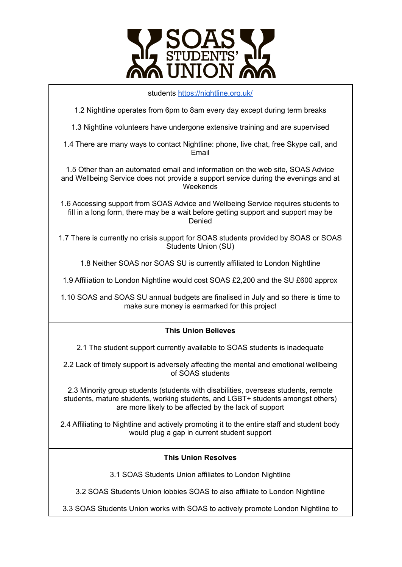

| students https://nightline.org.uk/                                                                                                                                                                                             |  |
|--------------------------------------------------------------------------------------------------------------------------------------------------------------------------------------------------------------------------------|--|
| 1.2 Nightline operates from 6pm to 8am every day except during term breaks                                                                                                                                                     |  |
| 1.3 Nightline volunteers have undergone extensive training and are supervised                                                                                                                                                  |  |
| 1.4 There are many ways to contact Nightline: phone, live chat, free Skype call, and<br>Email                                                                                                                                  |  |
| 1.5 Other than an automated email and information on the web site, SOAS Advice<br>and Wellbeing Service does not provide a support service during the evenings and at<br>Weekends                                              |  |
| 1.6 Accessing support from SOAS Advice and Wellbeing Service requires students to<br>fill in a long form, there may be a wait before getting support and support may be<br>Denied                                              |  |
| 1.7 There is currently no crisis support for SOAS students provided by SOAS or SOAS<br><b>Students Union (SU)</b>                                                                                                              |  |
| 1.8 Neither SOAS nor SOAS SU is currently affiliated to London Nightline                                                                                                                                                       |  |
| 1.9 Affiliation to London Nightline would cost SOAS £2,200 and the SU £600 approx                                                                                                                                              |  |
| 1.10 SOAS and SOAS SU annual budgets are finalised in July and so there is time to<br>make sure money is earmarked for this project                                                                                            |  |
| <b>This Union Believes</b>                                                                                                                                                                                                     |  |
| 2.1 The student support currently available to SOAS students is inadequate                                                                                                                                                     |  |
| 2.2 Lack of timely support is adversely affecting the mental and emotional wellbeing<br>of SOAS students                                                                                                                       |  |
| 2.3 Minority group students (students with disabilities, overseas students, remote<br>students, mature students, working students, and LGBT+ students amongst others)<br>are more likely to be affected by the lack of support |  |
| 2.4 Affiliating to Nightline and actively promoting it to the entire staff and student body<br>would plug a gap in current student support                                                                                     |  |

### **This Union Resolves**

3.1 SOAS Students Union affiliates to London Nightline

3.2 SOAS Students Union lobbies SOAS to also affiliate to London Nightline

3.3 SOAS Students Union works with SOAS to actively promote London Nightline to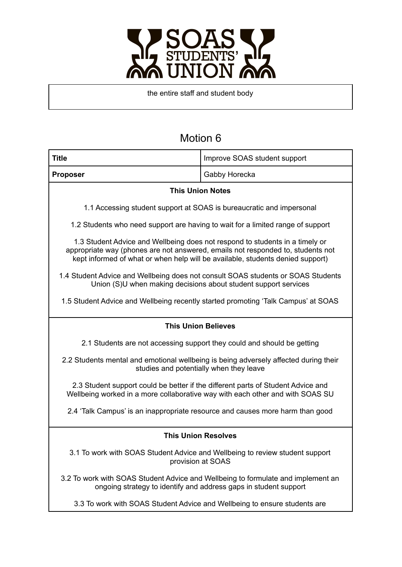

the entire staff and student body

| <b>Title</b>                                                                                                                                                                                                                                      | Improve SOAS student support                                                  |
|---------------------------------------------------------------------------------------------------------------------------------------------------------------------------------------------------------------------------------------------------|-------------------------------------------------------------------------------|
| <b>Proposer</b>                                                                                                                                                                                                                                   | Gabby Horecka                                                                 |
| <b>This Union Notes</b>                                                                                                                                                                                                                           |                                                                               |
| 1.1 Accessing student support at SOAS is bureaucratic and impersonal                                                                                                                                                                              |                                                                               |
| 1.2 Students who need support are having to wait for a limited range of support                                                                                                                                                                   |                                                                               |
| 1.3 Student Advice and Wellbeing does not respond to students in a timely or<br>appropriate way (phones are not answered, emails not responded to, students not<br>kept informed of what or when help will be available, students denied support) |                                                                               |
| 1.4 Student Advice and Wellbeing does not consult SOAS students or SOAS Students<br>Union (S)U when making decisions about student support services                                                                                               |                                                                               |
| 1.5 Student Advice and Wellbeing recently started promoting 'Talk Campus' at SOAS                                                                                                                                                                 |                                                                               |
| <b>This Union Believes</b>                                                                                                                                                                                                                        |                                                                               |
| 2.1 Students are not accessing support they could and should be getting                                                                                                                                                                           |                                                                               |
| 2.2 Students mental and emotional wellbeing is being adversely affected during their<br>studies and potentially when they leave                                                                                                                   |                                                                               |
| 2.3 Student support could be better if the different parts of Student Advice and<br>Wellbeing worked in a more collaborative way with each other and with SOAS SU                                                                                 |                                                                               |
|                                                                                                                                                                                                                                                   | 2.4 'Talk Campus' is an inappropriate resource and causes more harm than good |
| <b>This Union Resolves</b>                                                                                                                                                                                                                        |                                                                               |
| 3.1 To work with SOAS Student Advice and Wellbeing to review student support<br>provision at SOAS                                                                                                                                                 |                                                                               |
| 3.2 To work with SOAS Student Advice and Wellbeing to formulate and implement an<br>ongoing strategy to identify and address gaps in student support                                                                                              |                                                                               |
| 3.3 To work with SOAS Student Advice and Wellbeing to ensure students are                                                                                                                                                                         |                                                                               |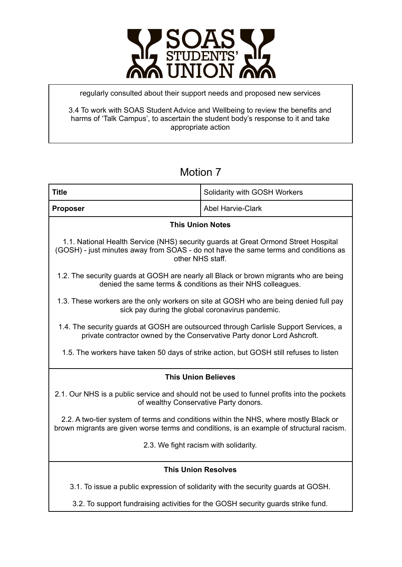

regularly consulted about their support needs and proposed new services

3.4 To work with SOAS Student Advice and Wellbeing to review the benefits and harms of 'Talk Campus', to ascertain the student body's response to it and take appropriate action

| <b>Title</b>                                                                                                                                                                                  | Solidarity with GOSH Workers                                                      |
|-----------------------------------------------------------------------------------------------------------------------------------------------------------------------------------------------|-----------------------------------------------------------------------------------|
| <b>Proposer</b>                                                                                                                                                                               | <b>Abel Harvie-Clark</b>                                                          |
| <b>This Union Notes</b>                                                                                                                                                                       |                                                                                   |
| 1.1. National Health Service (NHS) security guards at Great Ormond Street Hospital<br>(GOSH) - just minutes away from SOAS - do not have the same terms and conditions as<br>other NHS staff. |                                                                                   |
| 1.2. The security guards at GOSH are nearly all Black or brown migrants who are being<br>denied the same terms & conditions as their NHS colleagues.                                          |                                                                                   |
| 1.3. These workers are the only workers on site at GOSH who are being denied full pay<br>sick pay during the global coronavirus pandemic.                                                     |                                                                                   |
| 1.4. The security guards at GOSH are outsourced through Carlisle Support Services, a<br>private contractor owned by the Conservative Party donor Lord Ashcroft.                               |                                                                                   |
| 1.5. The workers have taken 50 days of strike action, but GOSH still refuses to listen                                                                                                        |                                                                                   |
| <b>This Union Believes</b>                                                                                                                                                                    |                                                                                   |
| 2.1. Our NHS is a public service and should not be used to funnel profits into the pockets<br>of wealthy Conservative Party donors.                                                           |                                                                                   |
| 2.2. A two-tier system of terms and conditions within the NHS, where mostly Black or<br>brown migrants are given worse terms and conditions, is an example of structural racism.              |                                                                                   |
| 2.3. We fight racism with solidarity.                                                                                                                                                         |                                                                                   |
| <b>This Union Resolves</b>                                                                                                                                                                    |                                                                                   |
|                                                                                                                                                                                               | 3.1. To issue a public expression of solidarity with the security guards at GOSH. |
| 3.2. To support fundraising activities for the GOSH security guards strike fund.                                                                                                              |                                                                                   |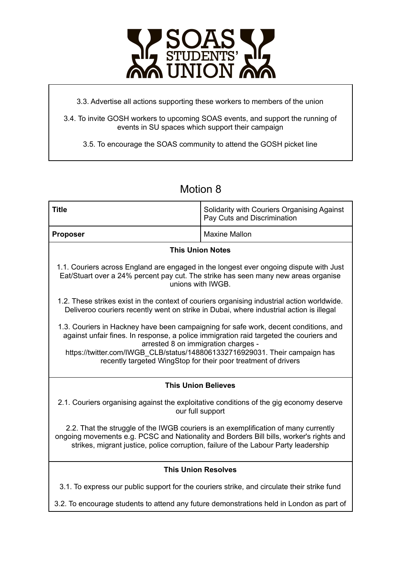

3.3. Advertise all actions supporting these workers to members of the union

3.4. To invite GOSH workers to upcoming SOAS events, and support the running of events in SU spaces which support their campaign

3.5. To encourage the SOAS community to attend the GOSH picket line

| <b>Title</b>                                                                                                                                                                                                                                                                                                                                                           | Solidarity with Couriers Organising Against<br>Pay Cuts and Discrimination               |
|------------------------------------------------------------------------------------------------------------------------------------------------------------------------------------------------------------------------------------------------------------------------------------------------------------------------------------------------------------------------|------------------------------------------------------------------------------------------|
| <b>Proposer</b>                                                                                                                                                                                                                                                                                                                                                        | <b>Maxine Mallon</b>                                                                     |
| <b>This Union Notes</b>                                                                                                                                                                                                                                                                                                                                                |                                                                                          |
| 1.1. Couriers across England are engaged in the longest ever ongoing dispute with Just<br>Eat/Stuart over a 24% percent pay cut. The strike has seen many new areas organise<br>unions with IWGB.                                                                                                                                                                      |                                                                                          |
| 1.2. These strikes exist in the context of couriers organising industrial action worldwide.<br>Deliveroo couriers recently went on strike in Dubai, where industrial action is illegal                                                                                                                                                                                 |                                                                                          |
| 1.3. Couriers in Hackney have been campaigning for safe work, decent conditions, and<br>against unfair fines. In response, a police immigration raid targeted the couriers and<br>arrested 8 on immigration charges -<br>https://twitter.com/IWGB CLB/status/1488061332716929031. Their campaign has<br>recently targeted WingStop for their poor treatment of drivers |                                                                                          |
| <b>This Union Believes</b>                                                                                                                                                                                                                                                                                                                                             |                                                                                          |
| 2.1. Couriers organising against the exploitative conditions of the gig economy deserve<br>our full support                                                                                                                                                                                                                                                            |                                                                                          |
| 2.2. That the struggle of the IWGB couriers is an exemplification of many currently<br>ongoing movements e.g. PCSC and Nationality and Borders Bill bills, worker's rights and<br>strikes, migrant justice, police corruption, failure of the Labour Party leadership                                                                                                  |                                                                                          |
| <b>This Union Resolves</b>                                                                                                                                                                                                                                                                                                                                             |                                                                                          |
| 3.1. To express our public support for the couriers strike, and circulate their strike fund                                                                                                                                                                                                                                                                            |                                                                                          |
|                                                                                                                                                                                                                                                                                                                                                                        | 3.2. To encourage students to attend any future demonstrations held in London as part of |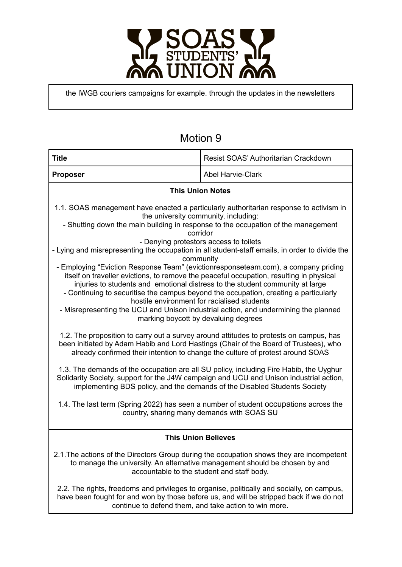

the IWGB couriers campaigns for example. through the updates in the newsletters

| <b>Title</b>                                                                                                                                                                                                                                                                                                                                                                                                                                                                                                                                                                                                                                                                                                                                                                                                                                                                                                                                                                                                                                                                                                                                                                                                                                                                                                                                                                                                                                                                                                                                                                                                | Resist SOAS' Authoritarian Crackdown                                                                                                             |
|-------------------------------------------------------------------------------------------------------------------------------------------------------------------------------------------------------------------------------------------------------------------------------------------------------------------------------------------------------------------------------------------------------------------------------------------------------------------------------------------------------------------------------------------------------------------------------------------------------------------------------------------------------------------------------------------------------------------------------------------------------------------------------------------------------------------------------------------------------------------------------------------------------------------------------------------------------------------------------------------------------------------------------------------------------------------------------------------------------------------------------------------------------------------------------------------------------------------------------------------------------------------------------------------------------------------------------------------------------------------------------------------------------------------------------------------------------------------------------------------------------------------------------------------------------------------------------------------------------------|--------------------------------------------------------------------------------------------------------------------------------------------------|
| <b>Proposer</b>                                                                                                                                                                                                                                                                                                                                                                                                                                                                                                                                                                                                                                                                                                                                                                                                                                                                                                                                                                                                                                                                                                                                                                                                                                                                                                                                                                                                                                                                                                                                                                                             | <b>Abel Harvie-Clark</b>                                                                                                                         |
| <b>This Union Notes</b>                                                                                                                                                                                                                                                                                                                                                                                                                                                                                                                                                                                                                                                                                                                                                                                                                                                                                                                                                                                                                                                                                                                                                                                                                                                                                                                                                                                                                                                                                                                                                                                     |                                                                                                                                                  |
| 1.1. SOAS management have enacted a particularly authoritarian response to activism in<br>the university community, including:<br>- Shutting down the main building in response to the occupation of the management<br>corridor<br>- Denying protestors access to toilets<br>- Lying and misrepresenting the occupation in all student-staff emails, in order to divide the<br>community<br>- Employing "Eviction Response Team" (evictionresponseteam.com), a company priding<br>itself on traveller evictions, to remove the peaceful occupation, resulting in physical<br>injuries to students and emotional distress to the student community at large<br>- Continuing to securitise the campus beyond the occupation, creating a particularly<br>hostile environment for racialised students<br>- Misrepresenting the UCU and Unison industrial action, and undermining the planned<br>marking boycott by devaluing degrees<br>1.2. The proposition to carry out a survey around attitudes to protests on campus, has<br>been initiated by Adam Habib and Lord Hastings (Chair of the Board of Trustees), who<br>already confirmed their intention to change the culture of protest around SOAS<br>1.3. The demands of the occupation are all SU policy, including Fire Habib, the Uyghur<br>Solidarity Society, support for the J4W campaign and UCU and Unison industrial action,<br>implementing BDS policy, and the demands of the Disabled Students Society<br>1.4. The last term (Spring 2022) has seen a number of student occupations across the<br>country, sharing many demands with SOAS SU |                                                                                                                                                  |
| <b>This Union Believes</b>                                                                                                                                                                                                                                                                                                                                                                                                                                                                                                                                                                                                                                                                                                                                                                                                                                                                                                                                                                                                                                                                                                                                                                                                                                                                                                                                                                                                                                                                                                                                                                                  |                                                                                                                                                  |
| 2.1. The actions of the Directors Group during the occupation shows they are incompetent<br>to manage the university. An alternative management should be chosen by and<br>accountable to the student and staff body.                                                                                                                                                                                                                                                                                                                                                                                                                                                                                                                                                                                                                                                                                                                                                                                                                                                                                                                                                                                                                                                                                                                                                                                                                                                                                                                                                                                       |                                                                                                                                                  |
| 2.2. The rights, freedoms and privileges to organise, politically and socially, on campus,                                                                                                                                                                                                                                                                                                                                                                                                                                                                                                                                                                                                                                                                                                                                                                                                                                                                                                                                                                                                                                                                                                                                                                                                                                                                                                                                                                                                                                                                                                                  | have been fought for and won by those before us, and will be stripped back if we do not<br>continue to defend them, and take action to win more. |